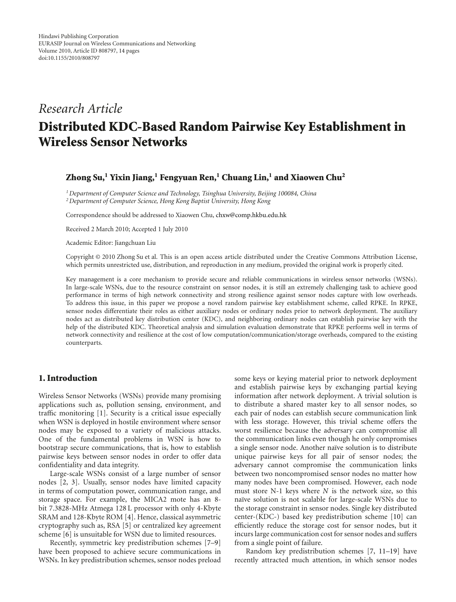# *Research Article* **Distributed KDC-Based Random Pairwise Key Establishment in Wireless Sensor Networks**

## **Zhong Su,1 Yixin Jiang,1 Fengyuan Ren,1 Chuang Lin,1 and Xiaowen Chu2**

*1Department of Computer Science and Technology, Tsinghua University, Beijing 100084, China 2Department of Computer Science, Hong Kong Baptist University, Hong Kong*

Correspondence should be addressed to Xiaowen Chu, chxw@comp.hkbu.edu.hk

Received 2 March 2010; Accepted 1 July 2010

Academic Editor: Jiangchuan Liu

Copyright © 2010 Zhong Su et al. This is an open access article distributed under the Creative Commons Attribution License, which permits unrestricted use, distribution, and reproduction in any medium, provided the original work is properly cited.

Key management is a core mechanism to provide secure and reliable communications in wireless sensor networks (WSNs). In large-scale WSNs, due to the resource constraint on sensor nodes, it is still an extremely challenging task to achieve good performance in terms of high network connectivity and strong resilience against sensor nodes capture with low overheads. To address this issue, in this paper we propose a novel random pairwise key establishment scheme, called RPKE. In RPKE, sensor nodes differentiate their roles as either auxiliary nodes or ordinary nodes prior to network deployment. The auxiliary nodes act as distributed key distribution center (KDC), and neighboring ordinary nodes can establish pairwise key with the help of the distributed KDC. Theoretical analysis and simulation evaluation demonstrate that RPKE performs well in terms of network connectivity and resilience at the cost of low computation/communication/storage overheads, compared to the existing counterparts.

# **1. Introduction**

Wireless Sensor Networks (WSNs) provide many promising applications such as, pollution sensing, environment, and traffic monitoring [1]. Security is a critical issue especially when WSN is deployed in hostile environment where sensor nodes may be exposed to a variety of malicious attacks. One of the fundamental problems in WSN is how to bootstrap secure communications, that is, how to establish pairwise keys between sensor nodes in order to offer data confidentiality and data integrity.

Large-scale WSNs consist of a large number of sensor nodes [2, 3]. Usually, sensor nodes have limited capacity in terms of computation power, communication range, and storage space. For example, the MICA2 mote has an 8 bit 7.3828-MHz Atmega 128 L processor with only 4-Kbyte SRAM and 128-Kbyte ROM [4]. Hence, classical asymmetric cryptography such as, RSA [5] or centralized key agreement scheme [6] is unsuitable for WSN due to limited resources.

Recently, symmetric key predistribution schemes [7–9] have been proposed to achieve secure communications in WSNs. In key predistribution schemes, sensor nodes preload some keys or keying material prior to network deployment and establish pairwise keys by exchanging partial keying information after network deployment. A trivial solution is to distribute a shared master key to all sensor nodes, so each pair of nodes can establish secure communication link with less storage. However, this trivial scheme offers the worst resilience because the adversary can compromise all the communication links even though he only compromises a single sensor node. Another naïve solution is to distribute unique pairwise keys for all pair of sensor nodes; the adversary cannot compromise the communication links between two noncompromised sensor nodes no matter how many nodes have been compromised. However, each node must store N-1 keys where *N* is the network size, so this naïve solution is not scalable for large-scale WSNs due to the storage constraint in sensor nodes. Single key distributed center-(KDC-) based key predistribution scheme [10] can efficiently reduce the storage cost for sensor nodes, but it incurs large communication cost for sensor nodes and suffers from a single point of failure.

Random key predistribution schemes [7, 11–19] have recently attracted much attention, in which sensor nodes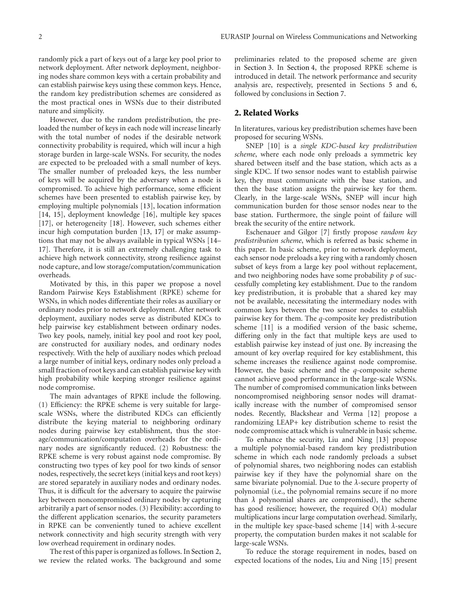randomly pick a part of keys out of a large key pool prior to network deployment. After network deployment, neighboring nodes share common keys with a certain probability and can establish pairwise keys using these common keys. Hence, the random key predistribution schemes are considered as the most practical ones in WSNs due to their distributed nature and simplicity.

However, due to the random predistribution, the preloaded the number of keys in each node will increase linearly with the total number of nodes if the desirable network connectivity probability is required, which will incur a high storage burden in large-scale WSNs. For security, the nodes are expected to be preloaded with a small number of keys. The smaller number of preloaded keys, the less number of keys will be acquired by the adversary when a node is compromised. To achieve high performance, some efficient schemes have been presented to establish pairwise key, by employing multiple polynomials [13], location information [14, 15], deployment knowledge [16], multiple key spaces [17], or heterogeneity [18]. However, such schemes either incur high computation burden [13, 17] or make assumptions that may not be always available in typical WSNs [14– 17]. Therefore, it is still an extremely challenging task to achieve high network connectivity, strong resilience against node capture, and low storage/computation/communication overheads.

Motivated by this, in this paper we propose a novel Random Pairwise Keys Establishment (RPKE) scheme for WSNs, in which nodes differentiate their roles as auxiliary or ordinary nodes prior to network deployment. After network deployment, auxiliary nodes serve as distributed KDCs to help pairwise key establishment between ordinary nodes. Two key pools, namely, initial key pool and root key pool, are constructed for auxiliary nodes, and ordinary nodes respectively. With the help of auxiliary nodes which preload a large number of initial keys, ordinary nodes only preload a small fraction of root keys and can establish pairwise key with high probability while keeping stronger resilience against node compromise.

The main advantages of RPKE include the following. (1) Efficiency: the RPKE scheme is very suitable for largescale WSNs, where the distributed KDCs can efficiently distribute the keying material to neighboring ordinary nodes during pairwise key establishment, thus the storage/communication/computation overheads for the ordinary nodes are significantly reduced. (2) Robustness: the RPKE scheme is very robust against node compromise. By constructing two types of key pool for two kinds of sensor nodes, respectively, the secret keys (initial keys and root keys) are stored separately in auxiliary nodes and ordinary nodes. Thus, it is difficult for the adversary to acquire the pairwise key between noncompromised ordinary nodes by capturing arbitrarily a part of sensor nodes. (3) Flexibility: according to the different application scenarios, the security parameters in RPKE can be conveniently tuned to achieve excellent network connectivity and high security strength with very low overhead requirement in ordinary nodes.

The rest of this paper is organized as follows. In Section 2, we review the related works. The background and some

preliminaries related to the proposed scheme are given in Section 3. In Section 4, the proposed RPKE scheme is introduced in detail. The network performance and security analysis are, respectively, presented in Sections 5 and 6, followed by conclusions in Section 7.

## **2. Related Works**

In literatures, various key predistribution schemes have been proposed for securing WSNs.

SNEP [10] is a *single KDC-based key predistribution scheme*, where each node only preloads a symmetric key shared between itself and the base station, which acts as a single KDC. If two sensor nodes want to establish pairwise key, they must communicate with the base station, and then the base station assigns the pairwise key for them. Clearly, in the large-scale WSNs, SNEP will incur high communication burden for those sensor nodes near to the base station. Furthermore, the single point of failure will break the security of the entire network.

Eschenauer and Gilgor [7] firstly propose *random key predistribution scheme*, which is referred as basic scheme in this paper. In basic scheme, prior to network deployment, each sensor node preloads a key ring with a randomly chosen subset of keys from a large key pool without replacement, and two neighboring nodes have some probability *p* of successfully completing key establishment. Due to the random key predistribution, it is probable that a shared key may not be available, necessitating the intermediary nodes with common keys between the two sensor nodes to establish pairwise key for them. The *q*-composite key predistribution scheme [11] is a modified version of the basic scheme, differing only in the fact that multiple keys are used to establish pairwise key instead of just one. By increasing the amount of key overlap required for key establishment, this scheme increases the resilience against node compromise. However, the basic scheme and the *q*-composite scheme cannot achieve good performance in the large-scale WSNs. The number of compromised communication links between noncompromised neighboring sensor nodes will dramatically increase with the number of compromised sensor nodes. Recently, Blackshear and Verma [12] propose a randomizing LEAP+ key distribution scheme to resist the node compromise attack which is vulnerable in basic scheme.

To enhance the security, Liu and Ning [13] propose a multiple polynomial-based random key predistribution scheme in which each node randomly preloads a subset of polynomial shares, two neighboring nodes can establish pairwise key if they have the polynomial share on the same bivariate polynomial. Due to the *λ*-secure property of polynomial (i.e., the polynomial remains secure if no more than  $\lambda$  polynomial shares are compromised), the scheme has good resilience; however, the required  $O(\lambda)$  modular multiplications incur large computation overhead. Similarly, in the multiple key space-based scheme [14] with *λ*-secure property, the computation burden makes it not scalable for large-scale WSNs.

To reduce the storage requirement in nodes, based on expected locations of the nodes, Liu and Ning [15] present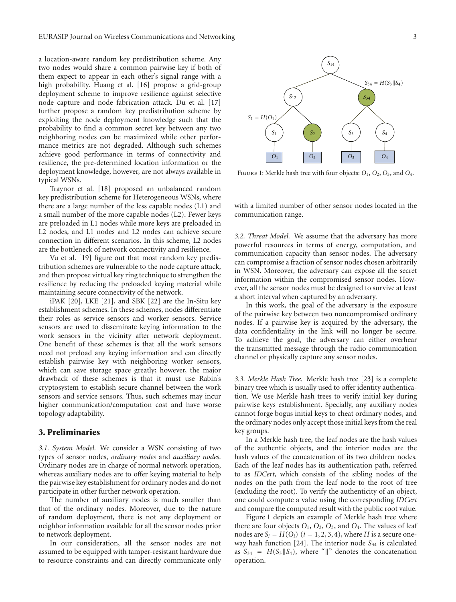a location-aware random key predistribution scheme. Any two nodes would share a common pairwise key if both of them expect to appear in each other's signal range with a high probability. Huang et al. [16] propose a grid-group deployment scheme to improve resilience against selective node capture and node fabrication attack. Du et al. [17] further propose a random key predistribution scheme by exploiting the node deployment knowledge such that the probability to find a common secret key between any two neighboring nodes can be maximized while other performance metrics are not degraded. Although such schemes achieve good performance in terms of connectivity and resilience, the pre-determined location information or the deployment knowledge, however, are not always available in typical WSNs.

Traynor et al. [18] proposed an unbalanced random key predistribution scheme for Heterogeneous WSNs, where there are a large number of the less capable nodes (L1) and a small number of the more capable nodes (L2). Fewer keys are preloaded in L1 nodes while more keys are preloaded in L2 nodes, and L1 nodes and L2 nodes can achieve secure connection in different scenarios. In this scheme, L2 nodes are the bottleneck of network connectivity and resilience.

Vu et al. [19] figure out that most random key predistribution schemes are vulnerable to the node capture attack, and then propose virtual key ring technique to strengthen the resilience by reducing the preloaded keying material while maintaining secure connectivity of the network.

iPAK [20], LKE [21], and SBK [22] are the In-Situ key establishment schemes. In these schemes, nodes differentiate their roles as service sensors and worker sensors. Service sensors are used to disseminate keying information to the work sensors in the vicinity after network deployment. One benefit of these schemes is that all the work sensors need not preload any keying information and can directly establish pairwise key with neighboring worker sensors, which can save storage space greatly; however, the major drawback of these schemes is that it must use Rabin's cryptosystem to establish secure channel between the work sensors and service sensors. Thus, such schemes may incur higher communication/computation cost and have worse topology adaptability.

#### **3. Preliminaries**

*3.1. System Model.* We consider a WSN consisting of two types of sensor nodes, *ordinary nodes* and *auxiliary nodes*. Ordinary nodes are in charge of normal network operation, whereas auxiliary nodes are to offer keying material to help the pairwise key establishment for ordinary nodes and do not participate in other further network operation.

The number of auxiliary nodes is much smaller than that of the ordinary nodes. Moreover, due to the nature of random deployment, there is not any deployment or neighbor information available for all the sensor nodes prior to network deployment.

In our consideration, all the sensor nodes are not assumed to be equipped with tamper-resistant hardware due to resource constraints and can directly communicate only



FIGURE 1: Merkle hash tree with four objects:  $O_1$ ,  $O_2$ ,  $O_3$ , and  $O_4$ .

with a limited number of other sensor nodes located in the communication range.

*3.2. Threat Model.* We assume that the adversary has more powerful resources in terms of energy, computation, and communication capacity than sensor nodes. The adversary can compromise a fraction of sensor nodes chosen arbitrarily in WSN. Moreover, the adversary can expose all the secret information within the compromised sensor nodes. However, all the sensor nodes must be designed to survive at least a short interval when captured by an adversary.

In this work, the goal of the adversary is the exposure of the pairwise key between two noncompromised ordinary nodes. If a pairwise key is acquired by the adversary, the data confidentiality in the link will no longer be secure. To achieve the goal, the adversary can either overhear the transmitted message through the radio communication channel or physically capture any sensor nodes.

*3.3. Merkle Hash Tree.* Merkle hash tree [23] is a complete binary tree which is usually used to offer identity authentication. We use Merkle hash trees to verify initial key during pairwise keys establishment. Specially, any auxiliary nodes cannot forge bogus initial keys to cheat ordinary nodes, and the ordinary nodes only accept those initial keys from the real key groups.

In a Merkle hash tree, the leaf nodes are the hash values of the authentic objects, and the interior nodes are the hash values of the concatenation of its two children nodes. Each of the leaf nodes has its authentication path, referred to as *IDCert*, which consists of the sibling nodes of the nodes on the path from the leaf node to the root of tree (excluding the root). To verify the authenticity of an object, one could compute a value using the corresponding *IDCert* and compare the computed result with the public root value.

Figure 1 depicts an example of Merkle hash tree where there are four objects *O*1, *O*2, *O*3, and *O*4. The values of leaf nodes are  $S_i = H(O_i)$  ( $i = 1, 2, 3, 4$ ), where *H* is a secure oneway hash function [24]. The interior node *S*<sup>34</sup> is calculated as  $S_{34} = H(S_3 \| S_4)$ , where "||" denotes the concatenation operation.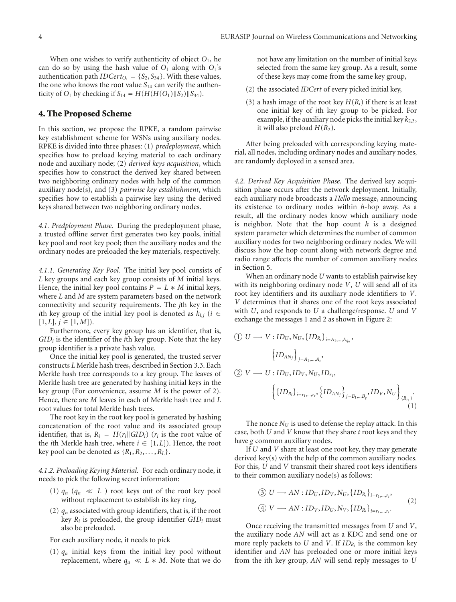When one wishes to verify authenticity of object  $O<sub>1</sub>$ , he can do so by using the hash value of  $O_1$  along with  $O_1$ 's authentication path *IDCert*<sub> $O_1$ </sub> = { $S_2$ ,  $S_{34}$ }. With these values, the one who knows the root value  $S_{14}$  can verify the authenticity of  $O_1$  by checking if  $S_{14} = H(H(H(O_1) \| S_2) \| S_{34})$ .

## **4. The Proposed Scheme**

In this section, we propose the RPKE, a random pairwise key establishment scheme for WSNs using auxiliary nodes. RPKE is divided into three phases: (1) *predeployment*, which specifies how to preload keying material to each ordinary node and auxiliary node; (2) *derived keys acquisition*, which specifies how to construct the derived key shared between two neighboring ordinary nodes with help of the common auxiliary node(s), and (3) *pairwise key establishment*, which specifies how to establish a pairwise key using the derived keys shared between two neighboring ordinary nodes.

*4.1. Predployment Phase.* During the predeployment phase, a trusted offline server first generates two key pools, initial key pool and root key pool; then the auxiliary nodes and the ordinary nodes are preloaded the key materials, respectively.

*4.1.1. Generating Key Pool.* The initial key pool consists of *L* key groups and each key group consists of *M* initial keys. Hence, the initial key pool contains  $P = L * M$  initial keys, where *L* and *M* are system parameters based on the network connectivity and security requirements. The *j*th key in the *i*th key group of the initial key pool is denoted as  $k_{i,j}$  (*i* ∈  $[1, L], j \in [1, M].$ 

Furthermore, every key group has an identifier, that is, *GIDi* is the identifier of the *i*th key group. Note that the key group identifier is a private hash value.

Once the initial key pool is generated, the trusted server constructs *L* Merkle hash trees, described in Section 3.3. Each Merkle hash tree corresponds to a key group. The leaves of Merkle hash tree are generated by hashing initial keys in the key group (For convenience, assume *M* is the power of 2). Hence, there are *M* leaves in each of Merkle hash tree and *L* root values for total Merkle hash trees.

The root key in the root key pool is generated by hashing concatenation of the root value and its associated group identifier, that is,  $R_i = H(r_i || GID_i)$  ( $r_i$  is the root value of the *i*th Merkle hash tree, where  $i \in [1, L]$ ). Hence, the root key pool can be denoted as  $\{R_1, R_2, \ldots, R_L\}$ .

*4.1.2. Preloading Keying Material.* For each ordinary node, it needs to pick the following secret information:

- (1)  $q_n$  ( $q_n \ll L$ ) root keys out of the root key pool without replacement to establish its key ring,
- (2)  $q_n$  associated with group identifiers, that is, if the root key  $R_i$  is preloaded, the group identifier  $GID_i$  must also be preloaded.

For each auxiliary node, it needs to pick

(1) *qa* initial keys from the initial key pool without replacement, where  $q_a \ll L * M$ . Note that we do not have any limitation on the number of initial keys selected from the same key group. As a result, some of these keys may come from the same key group,

- (2) the associated *IDCert* of every picked initial key,
- (3) a hash image of the root key  $H(R_i)$  if there is at least one initial key of *i*th key group to be picked. For example, if the auxiliary node picks the initial key  $k_{2,3}$ , it will also preload  $H(R_2)$ .

After being preloaded with corresponding keying material, all nodes, including ordinary nodes and auxiliary nodes, are randomly deployed in a sensed area.

*4.2. Derived Key Acquisition Phase.* The derived key acquisition phase occurs after the network deployment. Initially, each auxiliary node broadcasts a *Hello* message, announcing its existence to ordinary nodes within *h*-hop away. As a result, all the ordinary nodes know which auxiliary node is neighbor. Note that the hop count *h* is a designed system parameter which determines the number of common auxiliary nodes for two neighboring ordinary nodes. We will discuss how the hop count along with network degree and radio range affects the number of common auxiliary nodes in Section 5.

When an ordinary node *U* wants to establish pairwise key with its neighboring ordinary node *V*, *U* will send all of its root key identifiers and its auxiliary node identifiers to *V*. *V* determines that it shares one of the root keys associated with *U*, and responds to *U* a challenge/response. *U* and *V* exchange the messages 1 and 2 as shown in Figure 2:

$$
\begin{aligned}\n&\text{(I)}\ U \longrightarrow V: ID_U, N_U, \{ID_{R_i}\}_{i=A_1,\dots,A_qn}, \\
&\text{(I)}\ \{ID_{AN_j}\}_{j=A_1,\dots,A_s}, \\
&\text{(2)}\ V \longrightarrow U: ID_U, ID_V, N_U, ID_{r_1}, \\
&\text{(I)}\ \{ID_{R_i}\}_{i=r_1,\dots,r_t}, \{ID_{AN_j}\}_{j=B_1,\dots,B_g}, ID_V, N_U\}_{(R_{r_1})}.\n\end{aligned}
$$

The nonce  $N_U$  is used to defense the replay attack. In this case, both *U* and *V* know that they share *t* root keys and they have *g* common auxiliary nodes.

If *U* and *V* share at least one root key, they may generate derived key(s) with the help of the common auxiliary nodes. For this, *U* and *V* transmit their shared root keys identifiers to their common auxiliary node(s) as follows:

$$
\begin{aligned} \textcircled{3 } U &\longrightarrow AN: ID_U, ID_V, N_U, \{ID_{R_i}\}_{i=r_1,\dots,r_t}, \\ \textcircled{4 } V &\longrightarrow AN: ID_V, ID_U, N_V, \{ID_{R_i}\}_{i=r_1,\dots,r_t}. \end{aligned} \tag{2}
$$

Once receiving the transmitted messages from *U* and *V*, the auxiliary node *AN* will act as a KDC and send one or more reply packets to *U* and *V*. If  $ID_{R_i}$  is the common key identifier and *AN* has preloaded one or more initial keys from the ith key group, *AN* will send reply messages to *U*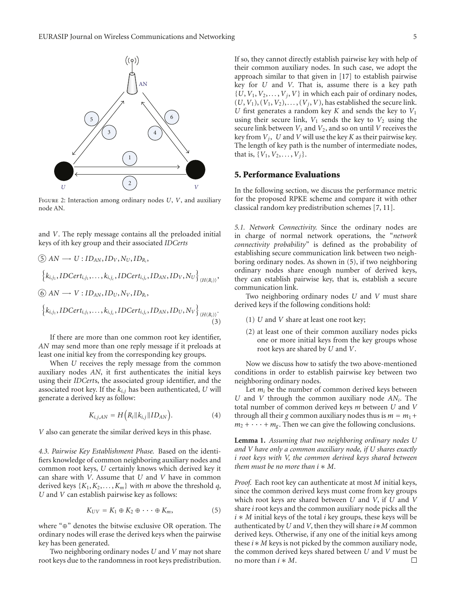

Figure 2: Interaction among ordinary nodes *U*, *V*, and auxiliary node AN.

and *V*. The reply message contains all the preloaded initial keys of ith key group and their associated *IDCerts*

$$
\begin{aligned}\n&\textcircled{S} \text{AN} \longrightarrow U: ID_{\text{AN}}, ID_V, N_U, ID_{R_i}, \\
&\{k_{i,j_1}, IDCert_{i,j_1}, \ldots, k_{i,j_c}, IDCert_{i,j_c}, ID_{\text{AN}}, ID_V, N_U\}_{\langle H(R_i) \rangle}, \\
&\textcircled{S} \text{AN} \longrightarrow V: ID_{\text{AN}}, ID_U, N_V, ID_{R_i}, \\
&\{k_{i,j_1}, IDCert_{i,j_1}, \ldots, k_{i,j_c}, IDCert_{i,j_c}, ID_{\text{AN}}, ID_U, N_V\}_{\langle H(R_i) \rangle}.\n\end{aligned}
$$

If there are more than one common root key identifier, *AN* may send more than one reply message if it preloads at least one initial key from the corresponding key groups.

When *U* receives the reply message from the common auxiliary nodes *AN*, it first authenticates the initial keys using their *IDCert*s, the associated group identifier, and the associated root key. If the  $k_{i,j}$  has been authenticated, *U* will generate a derived key as follow:

$$
K_{i,j,AN} = H\Big(R_i||k_{i,j}||ID_{AN}\Big). \tag{4}
$$

*V* also can generate the similar derived keys in this phase.

*4.3. Pairwise Key Establishment Phase.* Based on the identifiers knowledge of common neighboring auxiliary nodes and common root keys, *U* certainly knows which derived key it can share with *V*. Assume that *U* and *V* have in common derived keys  $\{K_1, K_2, \ldots, K_m\}$  with *m* above the threshold *q*, *U* and *V* can establish pairwise key as follows:

$$
K_{UV} = K_1 \oplus K_2 \oplus \cdots \oplus K_m, \qquad (5)
$$

where "⊕" denotes the bitwise exclusive OR operation. The ordinary nodes will erase the derived keys when the pairwise key has been generated.

Two neighboring ordinary nodes *U* and *V* may not share root keys due to the randomness in root keys predistribution. If so, they cannot directly establish pairwise key with help of their common auxiliary nodes. In such case, we adopt the approach similar to that given in [17] to establish pairwise key for *U* and *V*. That is, assume there is a key path  $\{U, V_1, V_2, \ldots, V_j, V\}$  in which each pair of ordinary nodes,  $(U, V_1), (V_1, V_2), \ldots, (V_j, V)$ , has established the secure link. *U* first generates a random key *K* and sends the key to  $V_1$ using their secure link,  $V_1$  sends the key to  $V_2$  using the secure link between  $V_1$  and  $V_2$ , and so on until  $V$  receives the key from  $V_j$ ,  $U$  and  $V$  will use the key  $K$  as their pairwise key. The length of key path is the number of intermediate nodes, that is,  $\{V_1, V_2, \ldots, V_j\}$ .

## **5. Performance Evaluations**

In the following section, we discuss the performance metric for the proposed RPKE scheme and compare it with other classical random key predistribution schemes [7, 11].

*5.1. Network Connectivity.* Since the ordinary nodes are in charge of normal network operations, the "*network connectivity probability*" is defined as the probability of establishing secure communication link between two neighboring ordinary nodes. As shown in (5), if two neighboring ordinary nodes share enough number of derived keys, they can establish pairwise key, that is, establish a secure communication link.

Two neighboring ordinary nodes *U* and *V* must share derived keys if the following conditions hold:

- (1) *U* and *V* share at least one root key;
- (2) at least one of their common auxiliary nodes picks one or more initial keys from the key groups whose root keys are shared by *U* and *V*.

Now we discuss how to satisfy the two above-mentioned conditions in order to establish pairwise key between two neighboring ordinary nodes.

Let *mi* be the number of common derived keys between *U* and *V* through the common auxiliary node *ANi*. The total number of common derived keys *m* between *U* and *V* through all their *g* common auxiliary nodes thus is  $m = m_1 +$  $m_2 + \cdots + m_g$ . Then we can give the following conclusions.

**Lemma 1.** *Assuming that two neighboring ordinary nodes U and V have only a common auxiliary node, if U shares exactly i root keys with V, the common derived keys shared between them must be no more than*  $i * M$ .

*Proof.* Each root key can authenticate at most *M* initial keys, since the common derived keys must come from key groups which root keys are shared between *U* and *V*, if *U* and *V* share *i* root keys and the common auxiliary node picks all the *i* ∗ *M* initial keys of the total *i* key groups, these keys will be authenticated by *U* and *V*, then they will share  $i * M$  common derived keys. Otherwise, if any one of the initial keys among these *i*∗*M* keys is not picked by the common auxiliary node, the common derived keys shared between *U* and *V* must be no more than *i* ∗ *M*. $\Box$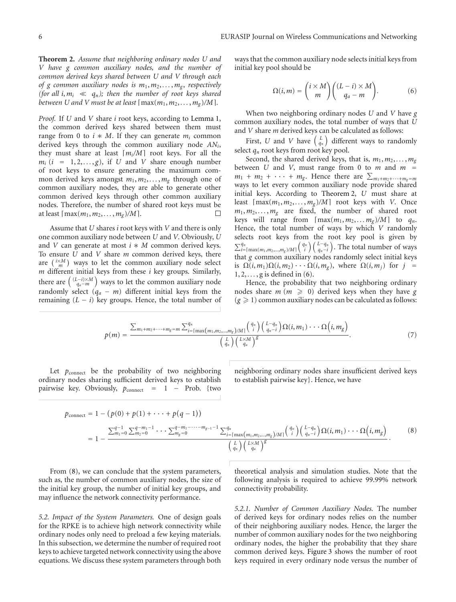**Theorem 2.** *Assume that neighboring ordinary nodes U and V have g common auxiliary nodes, and the number of common derived keys shared between U and V through each of g common auxiliary nodes is m*1,*m*2, *...* ,*mg* , *respectively (for all i, m<sub>i</sub>*  $\ll q_n$ *); then the number of root keys shared* between U and V must be at least  $\lceil \max(m_1, m_2, \ldots, m_g)/M \rceil$ .

*Proof.* If *U* and *V* share *i* root keys, according to Lemma 1, the common derived keys shared between them must range from 0 to  $i * M$ . If they can generate  $m_i$  common derived keys through the common auxiliary node *ANi*, they must share at least  $\lceil m_i/M \rceil$  root keys. For all the  $m_i$  ( $i = 1, 2, \ldots, g$ ), if *U* and *V* share enough number of root keys to ensure generating the maximum common derived keys amongst  $m_1, m_2, \ldots, m_g$  through one of common auxiliary nodes, they are able to generate other common derived keys through other common auxiliary nodes. Therefore, the number of shared root keys must be at least max(*m*1,*m*2, *...* ,*mg* )*/M*.  $\Box$ 

Assume that *U* shares *i* root keys with *V* and there is only one common auxiliary node between *U* and *V*. Obviously, *U* and *V* can generate at most *i* ∗ *M* common derived keys. To ensure *U* and *V* share *m* common derived keys, there are  $\binom{i \times M}{m}$  ways to let the common auxiliary node select *m* different initial keys from these *i* key groups. Similarly, there are  $\binom{(L-i)\times M}{q_a-m}$  ways to let the common auxiliary node randomly select  $(q_a - m)$  different initial keys from the remaining  $(L - i)$  key groups. Hence, the total number of

ways that the common auxiliary node selects initial keys from initial key pool should be

$$
\Omega(i,m) = {i \times M \choose m} {L - i \times M \choose q_a - m}.
$$
 (6)

When two neighboring ordinary nodes *U* and *V* have *g* common auxiliary nodes, the total number of ways that *U* and *V* share *m* derived keys can be calculated as follows:

First, *U* and *V* have  $\begin{pmatrix} L \\ q_n \end{pmatrix}$  different ways to randomly select  $q_n$  root keys from root key pool.

Second, the shared derived keys, that is,  $m_1, m_2, \ldots, m_g$ between *U* and *V*, must range from 0 to *m* and  $m =$  $m_1 + m_2 + \cdots + m_g$ . Hence there are  $\sum_{m_1+m_2+\cdots+m_g=m}$ ways to let every common auxiliary node provide shared initial keys. According to Theorem 2, *U* must share at least  $\lceil \max(m_1, m_2, \ldots, m_g)/M \rceil$  root keys with *V*. Once  $m_1, m_2, \ldots, m_g$  are fixed, the number of shared root keys will range from  $\lceil \max(m_1, m_2, \ldots, m_g)/M \rceil$  to  $q_n$ . Hence, the total number of ways by which *V* randomly selects root keys from the root key pool is given by  $\sum_{i=\lceil \max(m_1,m_2,...,m_g)/M \rceil}^{\qeta_n} {d_n \choose i} \left( \frac{L-q_n}{q_n-i} \right)$ . The total number of ways that *g* common auxiliary nodes randomly select initial keys is  $\Omega(i, m_1)\Omega(i, m_2)\cdots\Omega(i, m_g)$ , where  $\Omega(i, m_j)$  for  $j =$ 1, 2, *...* , g is defined in (6).

Hence, the probability that two neighboring ordinary nodes share  $m$  ( $m \geq 0$ ) derived keys when they have *g*  $(g \geq 1)$  common auxiliary nodes can be calculated as follows:

$$
p(m) = \frac{\sum_{m_1+m_2+\cdots+m_g=m}\sum_{i=\lceil\max(m_1,m_2,\ldots,m_g)/M\rceil}^{q_n} {\binom{q_n}{i}} {\binom{L-q_n}{q_n-i}} \Omega(i,m_1)\cdots\Omega(i,m_g)}{\binom{L}{q_n}\binom{L\times M}{q_a}^g}.
$$
(7)

Let  $p_{connect}$  be the probability of two neighboring ordinary nodes sharing sufficient derived keys to establish pairwise key. Obviously,  $p_{connect} = 1 -$  Prob. {two neighboring ordinary nodes share insufficient derived keys to establish pairwise key}. Hence, we have

$$
p_{\text{connect}} = 1 - (p(0) + p(1) + \dots + p(q - 1))
$$
\n
$$
= 1 - \frac{\sum_{m_1=0}^{q-1} \sum_{m_2=0}^{q-m_1-1} \cdots \sum_{m_g=0}^{q-m_1-\dots-m_{g-1}-1} \sum_{i=\lceil \max(m_1,m_2,...,m_g)/M \rceil}^{q_i} {q_n \choose i} {L-q_n \choose q_n-i} \Omega(i, m_1) \cdots \Omega(i, m_g)}{(d_n) \binom{L\times M}{q_n}^g}.
$$
\n(8)

From (8), we can conclude that the system parameters, such as, the number of common auxiliary nodes, the size of the initial key group, the number of initial key groups, and may influence the network connectivity performance.

*5.2. Impact of the System Parameters.* One of design goals for the RPKE is to achieve high network connectivity while ordinary nodes only need to preload a few keying materials. In this subsection, we determine the number of required root keys to achieve targeted network connectivity using the above equations. We discuss these system parameters through both

theoretical analysis and simulation studies. Note that the following analysis is required to achieve 99.99% network connectivity probability.

*5.2.1. Number of Common Auxiliary Nodes.* The number of derived keys for ordinary nodes relies on the number of their neighboring auxiliary nodes. Hence, the larger the number of common auxiliary nodes for the two neighboring ordinary nodes, the higher the probability that they share common derived keys. Figure 3 shows the number of root keys required in every ordinary node versus the number of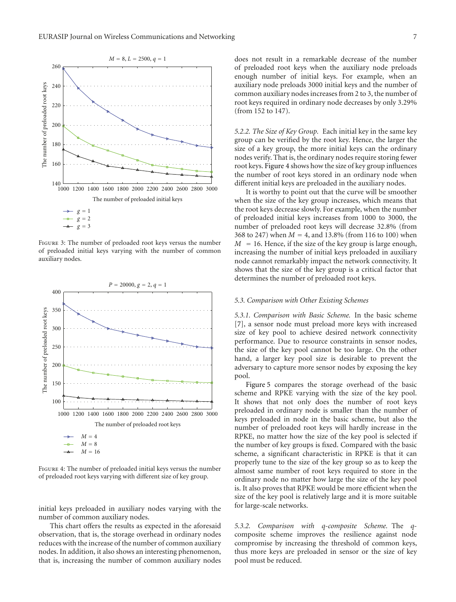

Figure 3: The number of preloaded root keys versus the number of preloaded initial keys varying with the number of common auxiliary nodes.



Figure 4: The number of preloaded initial keys versus the number of preloaded root keys varying with different size of key group.

initial keys preloaded in auxiliary nodes varying with the number of common auxiliary nodes.

This chart offers the results as expected in the aforesaid observation, that is, the storage overhead in ordinary nodes reduces with the increase of the number of common auxiliary nodes. In addition, it also shows an interesting phenomenon, that is, increasing the number of common auxiliary nodes

does not result in a remarkable decrease of the number of preloaded root keys when the auxiliary node preloads enough number of initial keys. For example, when an auxiliary node preloads 3000 initial keys and the number of common auxiliary nodes increases from 2 to 3, the number of root keys required in ordinary node decreases by only 3.29% (from 152 to 147).

*5.2.2. The Size of Key Group.* Each initial key in the same key group can be verified by the root key. Hence, the larger the size of a key group, the more initial keys can the ordinary nodes verify. That is, the ordinary nodes require storing fewer root keys. Figure 4 shows how the size of key group influences the number of root keys stored in an ordinary node when different initial keys are preloaded in the auxiliary nodes.

It is worthy to point out that the curve will be smoother when the size of the key group increases, which means that the root keys decrease slowly. For example, when the number of preloaded initial keys increases from 1000 to 3000, the number of preloaded root keys will decrease 32.8% (from 368 to 247) when *M* = 4, and 13.8% (from 116 to 100) when  $M = 16$ . Hence, if the size of the key group is large enough, increasing the number of initial keys preloaded in auxiliary node cannot remarkably impact the network connectivity. It shows that the size of the key group is a critical factor that determines the number of preloaded root keys.

#### *5.3. Comparison with Other Existing Schemes*

*5.3.1. Comparison with Basic Scheme.* In the basic scheme [7], a sensor node must preload more keys with increased size of key pool to achieve desired network connectivity performance. Due to resource constraints in sensor nodes, the size of the key pool cannot be too large. On the other hand, a larger key pool size is desirable to prevent the adversary to capture more sensor nodes by exposing the key pool.

Figure 5 compares the storage overhead of the basic scheme and RPKE varying with the size of the key pool. It shows that not only does the number of root keys preloaded in ordinary node is smaller than the number of keys preloaded in node in the basic scheme, but also the number of preloaded root keys will hardly increase in the RPKE, no matter how the size of the key pool is selected if the number of key groups is fixed. Compared with the basic scheme, a significant characteristic in RPKE is that it can properly tune to the size of the key group so as to keep the almost same number of root keys required to store in the ordinary node no matter how large the size of the key pool is. It also proves that RPKE would be more efficient when the size of the key pool is relatively large and it is more suitable for large-scale networks.

*5.3.2. Comparison with q-composite Scheme.* The *q*composite scheme improves the resilience against node compromise by increasing the threshold of common keys, thus more keys are preloaded in sensor or the size of key pool must be reduced.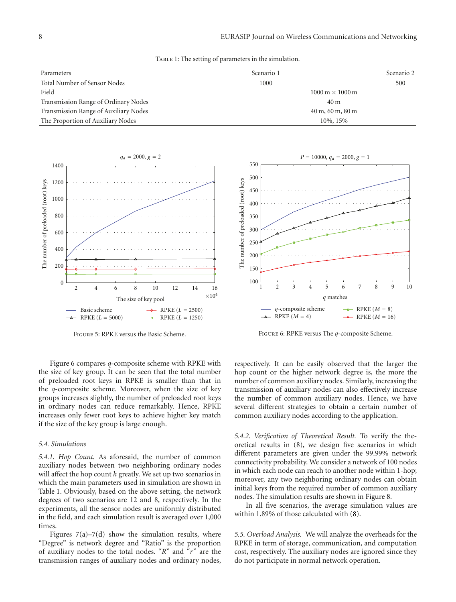TABLE 1: The setting of parameters in the simulation.

| Parameters                            | Scenario 1                                   | Scenario 2 |
|---------------------------------------|----------------------------------------------|------------|
| Total Number of Sensor Nodes          | 1000                                         | 500        |
| Field                                 | $1000 \,\mathrm{m} \times 1000 \,\mathrm{m}$ |            |
| Transmission Range of Ordinary Nodes  | 40 <sub>m</sub>                              |            |
| Transmission Range of Auxiliary Nodes | $40 \,\mathrm{m}$ , 60 m, 80 m               |            |
| The Proportion of Auxiliary Nodes     | 10\%, 15\%                                   |            |



Figure 5: RPKE versus the Basic Scheme.



Figure 6: RPKE versus The *q*-composite Scheme.

Figure 6 compares *q*-composite scheme with RPKE with the size of key group. It can be seen that the total number of preloaded root keys in RPKE is smaller than that in the *q*-composite scheme. Moreover, when the size of key groups increases slightly, the number of preloaded root keys in ordinary nodes can reduce remarkably. Hence, RPKE increases only fewer root keys to achieve higher key match if the size of the key group is large enough.

#### *5.4. Simulations*

*5.4.1. Hop Count.* As aforesaid, the number of common auxiliary nodes between two neighboring ordinary nodes will affect the hop count *h* greatly. We set up two scenarios in which the main parameters used in simulation are shown in Table 1. Obviously, based on the above setting, the network degrees of two scenarios are 12 and 8, respectively. In the experiments, all the sensor nodes are uniformly distributed in the field, and each simulation result is averaged over 1,000 times.

Figures  $7(a) - 7(d)$  show the simulation results, where "Degree" is network degree and "Ratio" is the proportion of auxiliary nodes to the total nodes. "*R*" and "*r*" are the transmission ranges of auxiliary nodes and ordinary nodes,

respectively. It can be easily observed that the larger the hop count or the higher network degree is, the more the number of common auxiliary nodes. Similarly, increasing the transmission of auxiliary nodes can also effectively increase the number of common auxiliary nodes. Hence, we have several different strategies to obtain a certain number of common auxiliary nodes according to the application.

*5.4.2. Verification of Theoretical Result.* To verify the theoretical results in (8), we design five scenarios in which different parameters are given under the 99.99% network connectivity probability. We consider a network of 100 nodes in which each node can reach to another node within 1-hop; moreover, any two neighboring ordinary nodes can obtain initial keys from the required number of common auxiliary nodes. The simulation results are shown in Figure 8.

In all five scenarios, the average simulation values are within 1.89% of those calculated with (8).

*5.5. Overload Analysis.* We will analyze the overheads for the RPKE in term of storage, communication, and computation cost, respectively. The auxiliary nodes are ignored since they do not participate in normal network operation.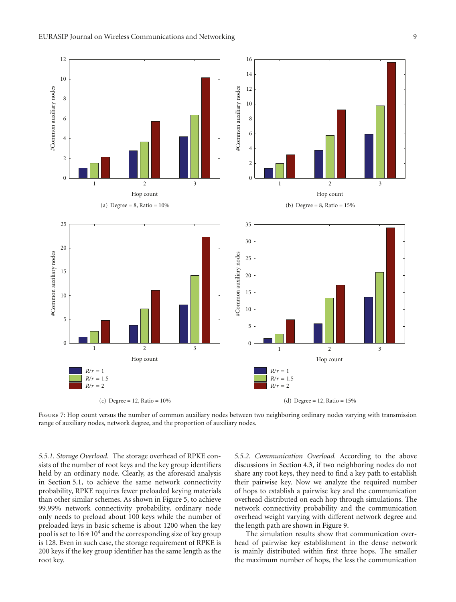

Figure 7: Hop count versus the number of common auxiliary nodes between two neighboring ordinary nodes varying with transmission range of auxiliary nodes, network degree, and the proportion of auxiliary nodes.

*5.5.1. Storage Overload.* The storage overhead of RPKE consists of the number of root keys and the key group identifiers held by an ordinary node. Clearly, as the aforesaid analysis in Section 5.1, to achieve the same network connectivity probability, RPKE requires fewer preloaded keying materials than other similar schemes. As shown in Figure 5, to achieve 99.99% network connectivity probability, ordinary node only needs to preload about 100 keys while the number of preloaded keys in basic scheme is about 1200 when the key pool is set to  $16*10<sup>4</sup>$  and the corresponding size of key group is 128. Even in such case, the storage requirement of RPKE is 200 keys if the key group identifier has the same length as the root key.

*5.5.2. Communication Overload.* According to the above discussions in Section 4.3, if two neighboring nodes do not share any root keys, they need to find a key path to establish their pairwise key. Now we analyze the required number of hops to establish a pairwise key and the communication overhead distributed on each hop through simulations. The network connectivity probability and the communication overhead weight varying with different network degree and the length path are shown in Figure 9.

The simulation results show that communication overhead of pairwise key establishment in the dense network is mainly distributed within first three hops. The smaller the maximum number of hops, the less the communication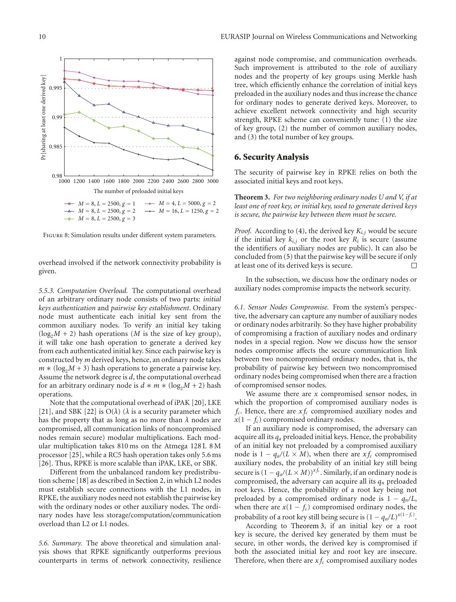

Figure 8: Simulation results under different system parameters.

overhead involved if the network connectivity probability is given.

*5.5.3. Computation Overload.* The computational overhead of an arbitrary ordinary node consists of two parts: *initial keys authentication* and *pairwise key establishment*. Ordinary node must authenticate each initial key sent from the common auxiliary nodes. To verify an initial key taking  $(log<sub>2</sub>M + 2)$  hash operations (*M* is the size of key group), it will take one hash operation to generate a derived key from each authenticated initial key. Since each pairwise key is constructed by *m* derived keys, hence, an ordinary node takes  $m * (\log_2 M + 3)$  hash operations to generate a pairwise key. Assume the network degree is *d*, the computational overhead for an arbitrary ordinary node is  $d * m * (\log_2 M + 2)$  hash operations.

Note that the computational overhead of iPAK [20], LKE [21], and SBK [22] is  $O(\lambda)$  ( $\lambda$  is a security parameter which has the property that as long as no more than  $\lambda$  nodes are compromised, all communication links of noncompromised nodes remain secure) modular multiplications. Each modular multiplication takes 810 ms on the Atmega 128 L 8 M processor [25], while a RC5 hash operation takes only 5.6 ms [26]. Thus, RPKE is more scalable than iPAK, LKE, or SBK.

Different from the unbalanced random key predistribution scheme [18] as described in Section 2, in which L2 nodes must establish secure connections with the L1 nodes, in RPKE, the auxiliary nodes need not establish the pairwise key with the ordinary nodes or other auxiliary nodes. The ordinary nodes have less storage/computation/communication overload than L2 or L1 nodes.

*5.6. Summary.* The above theoretical and simulation analysis shows that RPKE significantly outperforms previous counterparts in terms of network connectivity, resilience

against node compromise, and communication overheads. Such improvement is attributed to the role of auxiliary nodes and the property of key groups using Merkle hash tree, which efficiently enhance the correlation of initial keys preloaded in the auxiliary nodes and thus increase the chance for ordinary nodes to generate derived keys. Moreover, to achieve excellent network connectivity and high security strength, RPKE scheme can conveniently tune: (1) the size of key group, (2) the number of common auxiliary nodes, and (3) the total number of key groups.

#### **6. Security Analysis**

The security of pairwise key in RPKE relies on both the associated initial keys and root keys.

**Theorem 3.** *For two neighboring ordinary nodes U and V, if at least one of root key, or initial key, used to generate derived keys is secure, the pairwise key between them must be secure.*

*Proof.* According to (4), the derived key  $K_{i,j}$  would be secure if the initial key  $k_{i,j}$  or the root key  $R_i$  is secure (assume the identifiers of auxiliary nodes are public). It can also be concluded from (5) that the pairwise key will be secure if only at least one of its derived keys is secure. П

In the subsection, we discuss how the ordinary nodes or auxiliary nodes compromise impacts the network security.

*6.1. Sensor Nodes Compromise.* From the system's perspective, the adversary can capture any number of auxiliary nodes or ordinary nodes arbitrarily. So they have higher probability of compromising a fraction of auxiliary nodes and ordinary nodes in a special region. Now we discuss how the sensor nodes compromise affects the secure communication link between two noncompromised ordinary nodes, that is, the probability of pairwise key between two noncompromised ordinary nodes being compromised when there are a fraction of compromised sensor nodes.

We assume there are *x* compromised sensor nodes, in which the proportion of compromised auxiliary nodes is  $f_c$ . Hence, there are  $xf_c$  compromised auxiliary nodes and  $x(1 - f_c)$  compromised ordinary nodes.

If an auxiliary node is compromised, the adversary can acquire all its  $q_a$  preloaded initial keys. Hence, the probability of an initial key not preloaded by a compromised auxiliary node is  $1 - q_a/(L \times M)$ , when there are  $xf_c$  compromised auxiliary nodes, the probability of an initial key still being secure is  $(1 - q_a/(L \times M))^{xf_c}$ . Similarly, if an ordinary node is compromised, the adversary can acquire all its  $q_n$  preloaded root keys. Hence, the probability of a root key being not preloaded by a compromised ordinary node is  $1 - q_n/L$ , when there are  $x(1 - f_c)$  compromised ordinary nodes, the probability of a root key still being secure is  $(1 - q_n/L)^{x(1-f_c)}$ .

According to Theorem 3, if an initial key or a root key is secure, the derived key generated by them must be secure, in other words, the derived key is compromised if both the associated initial key and root key are insecure. Therefore, when there are  $xf_c$  compromised auxiliary nodes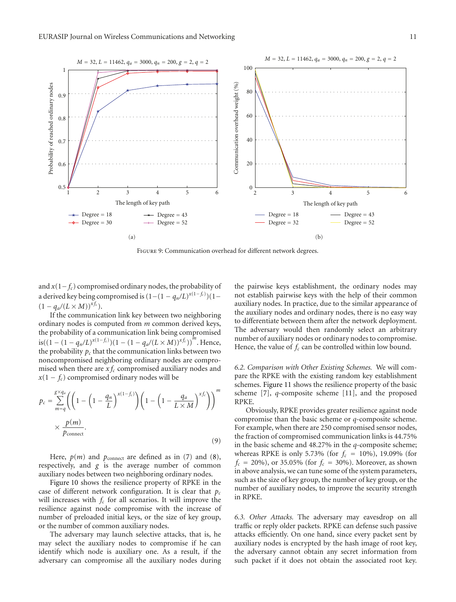

Figure 9: Communication overhead for different network degrees.

and  $x(1-f_c)$  compromised ordinary nodes, the probability of a derived key being compromised is  $(1 - (1 - q_n/L)^{x(1 - f_c)})(1 (1 - q_a/(L \times M))^{xf_c}$ .

If the communication link key between two neighboring ordinary nodes is computed from *m* common derived keys, the probability of a communication link being compromised  $\text{is}((1 - (1 - q_n/L)^{x(1-f_c)})(1 - (1 - q_a/(L \times M))^{xf_c}))$ <sup>m</sup>. Hence, the probability  $p_c$  that the communication links between two noncompromised neighboring ordinary nodes are compromised when there are  $xf_c$  compromised auxiliary nodes and  $x(1 - f_c)$  compromised ordinary nodes will be

$$
p_c = \sum_{m=q}^{g \times q_a} \left( \left( 1 - \left( 1 - \frac{q_n}{L} \right)^{x(1-f_c)} \right) \left( 1 - \left( 1 - \frac{q_a}{L \times M} \right)^{xf_c} \right) \right)^m
$$
  
 
$$
\times \frac{p(m)}{p_{\text{connect}}}.
$$
 (9)

Here,  $p(m)$  and  $p_{connect}$  are defined as in (7) and (8), respectively, and *g* is the average number of common auxiliary nodes between two neighboring ordinary nodes.

Figure 10 shows the resilience property of RPKE in the case of different network configuration. It is clear that  $p_c$ will increases with  $f_c$  for all scenarios. It will improve the resilience against node compromise with the increase of number of preloaded initial keys, or the size of key group, or the number of common auxiliary nodes.

The adversary may launch selective attacks, that is, he may select the auxiliary nodes to compromise if he can identify which node is auxiliary one. As a result, if the adversary can compromise all the auxiliary nodes during

the pairwise keys establishment, the ordinary nodes may not establish pairwise keys with the help of their common auxiliary nodes. In practice, due to the similar appearance of the auxiliary nodes and ordinary nodes, there is no easy way to differentiate between them after the network deployment. The adversary would then randomly select an arbitrary number of auxiliary nodes or ordinary nodes to compromise. Hence, the value of  $f_c$  can be controlled within low bound.

*6.2. Comparison with Other Existing Schemes.* We will compare the RPKE with the existing random key establishment schemes. Figure 11 shows the resilience property of the basic scheme [7], *q*-composite scheme [11], and the proposed RPKE.

Obviously, RPKE provides greater resilience against node compromise than the basic scheme or *q*-composite scheme. For example, when there are 250 compromised sensor nodes, the fraction of compromised communication links is 44.75% in the basic scheme and 48.27% in the *q*-composite scheme; whereas RPKE is only 5.73% (for  $f_c = 10\%$ ), 19.09% (for  $f_c = 20\%$ ), or 35.05% (for  $f_c = 30\%$ ). Moreover, as shown in above analysis, we can tune some of the system parameters, such as the size of key group, the number of key group, or the number of auxiliary nodes, to improve the security strength in RPKE.

*6.3. Other Attacks.* The adversary may eavesdrop on all traffic or reply older packets. RPKE can defense such passive attacks efficiently. On one hand, since every packet sent by auxiliary nodes is encrypted by the hash image of root key, the adversary cannot obtain any secret information from such packet if it does not obtain the associated root key.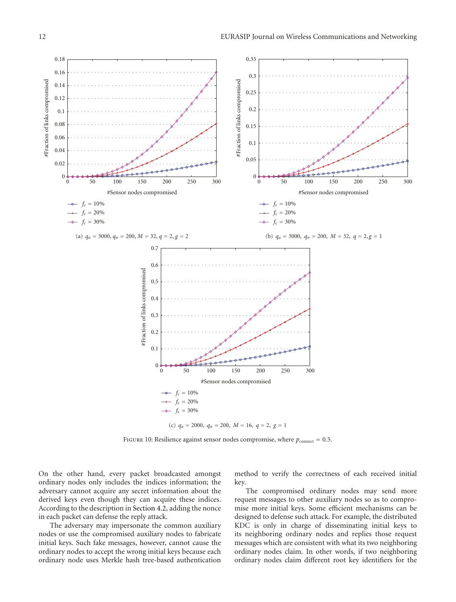

FIGURE 10: Resilience against sensor nodes compromise, where  $p_{\text{connect}} = 0.5$ .

On the other hand, every packet broadcasted amongst ordinary nodes only includes the indices information; the adversary cannot acquire any secret information about the derived keys even though they can acquire these indices. According to the description in Section 4.2, adding the nonce in each packet can defense the reply attack.

The adversary may impersonate the common auxiliary nodes or use the compromised auxiliary nodes to fabricate initial keys. Such fake messages, however, cannot cause the ordinary nodes to accept the wrong initial keys because each ordinary node uses Merkle hash tree-based authentication

method to verify the correctness of each received initial key.

The compromised ordinary nodes may send more request messages to other auxiliary nodes so as to compromise more initial keys. Some efficient mechanisms can be designed to defense such attack. For example, the distributed KDC is only in charge of disseminating initial keys to its neighboring ordinary nodes and replies those request messages which are consistent with what its two neighboring ordinary nodes claim. In other words, if two neighboring ordinary nodes claim different root key identifiers for the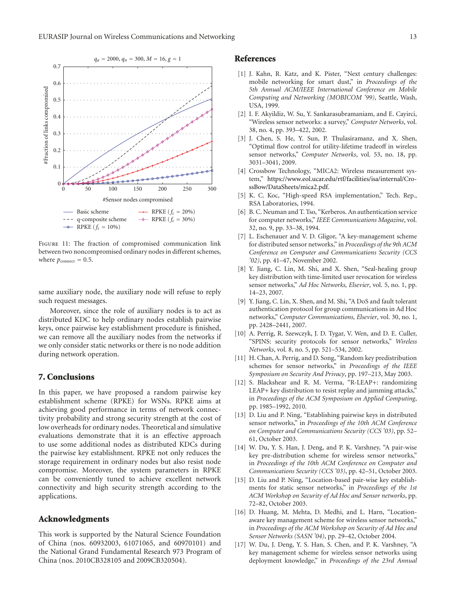

Figure 11: The fraction of compromised communication link between two noncompromised ordinary nodes in different schemes, where  $p_{\text{connect}} = 0.5$ .

same auxiliary node, the auxiliary node will refuse to reply such request messages.

Moreover, since the role of auxiliary nodes is to act as distributed KDC to help ordinary nodes establish pairwise keys, once pairwise key establishment procedure is finished, we can remove all the auxiliary nodes from the networks if we only consider static networks or there is no node addition during network operation.

# **7. Conclusions**

In this paper, we have proposed a random pairwise key establishment scheme (RPKE) for WSNs. RPKE aims at achieving good performance in terms of network connectivity probability and strong security strength at the cost of low overheads for ordinary nodes. Theoretical and simulative evaluations demonstrate that it is an effective approach to use some additional nodes as distributed KDCs during the pairwise key establishment. RPKE not only reduces the storage requirement in ordinary nodes but also resist node compromise. Moreover, the system parameters in RPKE can be conveniently tuned to achieve excellent network connectivity and high security strength according to the applications.

## **Acknowledgments**

This work is supported by the Natural Science Foundation of China (nos. 60932003, 61071065, and 60970101) and the National Grand Fundamental Research 973 Program of China (nos. 2010CB328105 and 2009CB320504).

#### **References**

- [1] J. Kahn, R. Katz, and K. Pister, "Next century challenges: mobile networking for smart dust," in *Proceedings of the 5th Annual ACM/IEEE International Conference on Mobile Computing and Networking (MOBICOM '99)*, Seattle, Wash, USA, 1999.
- [2] I. F. Akyildiz, W. Su, Y. Sankarasubramaniam, and E. Cayirci, "Wireless sensor networks: a survey," *Computer Networks*, vol. 38, no. 4, pp. 393–422, 2002.
- [3] J. Chen, S. He, Y. Sun, P. Thulasiramanz, and X. Shen, "Optimal flow control for utility-lifetime tradeoff in wireless sensor networks," *Computer Networks*, vol. 53, no. 18, pp. 3031–3041, 2009.
- [4] Crossbow Technology, "MICA2: Wireless measurement system," https://www.eol.ucar.edu/rtf/facilities/isa/internal/CrossBow/DataSheets/mica2.pdf.
- [5] K. C. Koc, "High-speed RSA implementation," Tech. Rep., RSA Laboratories, 1994.
- [6] B. C. Neuman and T. Tso, "Kerberos. An authentication service for computer networks," *IEEE Communications Magazine*, vol. 32, no. 9, pp. 33–38, 1994.
- [7] L. Eschenauer and V. D. Gligor, "A key-management scheme for distributed sensor networks," in *Proceedings of the 9th ACM Conference on Computer and Communications Security (CCS '02)*, pp. 41–47, November 2002.
- [8] Y. Jiang, C. Lin, M. Shi, and X. Shen, "Seal-healing group key distribution with time-limited user revocation for wireless sensor networks," *Ad Hoc Networks, Elsevier*, vol. 5, no. 1, pp. 14–23, 2007.
- [9] Y. Jiang, C. Lin, X. Shen, and M. Shi, "A DoS and fault tolerant authentication protocol for group communications in Ad Hoc networks," *Computer Communications, Elsevier*, vol. 30, no. 1, pp. 2428–2441, 2007.
- [10] A. Perrig, R. Szewczyk, J. D. Tygar, V. Wen, and D. E. Culler, "SPINS: security protocols for sensor networks," *Wireless Networks*, vol. 8, no. 5, pp. 521–534, 2002.
- [11] H. Chan, A. Perrig, and D. Song, "Random key predistribution schemes for sensor networks," in *Proceedings of the IEEE Symposium on Security And Privacy*, pp. 197–213, May 2003.
- [12] S. Blackshear and R. M. Verma, "R-LEAP+: randomizing LEAP+ key distribution to resist replay and jamming attacks," in *Proceedings of the ACM Symposium on Applied Computing*, pp. 1985–1992, 2010.
- [13] D. Liu and P. Ning, "Establishing pairwise keys in distributed sensor networks," in *Proceedings of the 10th ACM Conference on Computer and Communications Security (CCS '03)*, pp. 52– 61, October 2003.
- [14] W. Du, Y. S. Han, J. Deng, and P. K. Varshney, "A pair-wise key pre-distribution scheme for wireless sensor networks," in *Proceedings of the 10th ACM Conference on Computer and Communications Security (CCS '03)*, pp. 42–51, October 2003.
- [15] D. Liu and P. Ning, "Location-based pair-wise key establishments for static sensor networks," in *Proceedings of the 1st ACM Workshop on Security of Ad Hoc and Sensor networks*, pp. 72–82, October 2003.
- [16] D. Huang, M. Mehta, D. Medhi, and L. Harn, "Locationaware key management scheme for wireless sensor networks," in *Proceedings of the ACM Workshop on Security of Ad Hoc and Sensor Networks (SASN '04)*, pp. 29–42, October 2004.
- [17] W. Du, J. Deng, Y. S. Han, S. Chen, and P. K. Varshney, "A key management scheme for wireless sensor networks using deployment knowledge," in *Proceedings of the 23rd Annual*